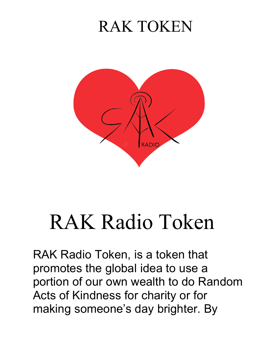

# RAK Radio Token

RAK Radio Token, is a token that promotes the global idea to use a portion of our own wealth to do Random Acts of Kindness for charity or for making someone's day brighter. By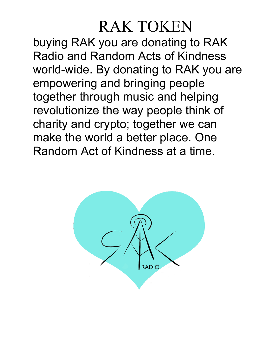buying RAK you are donating to RAK Radio and Random Acts of Kindness world-wide. By donating to RAK you are empowering and bringing people together through music and helping revolutionize the way people think of charity and crypto; together we can make the world a better place. One Random Act of Kindness at a time.

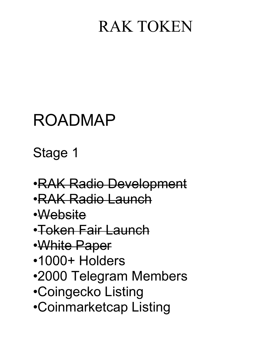#### ROADMAP

Stage 1

- •RAK Radio Development
- •RAK Radio Launch
- •Website
- •Token Fair Launch
- •White Paper
- •1000+ Holders
- •2000 Telegram Members
- •Coingecko Listing
- •Coinmarketcap Listing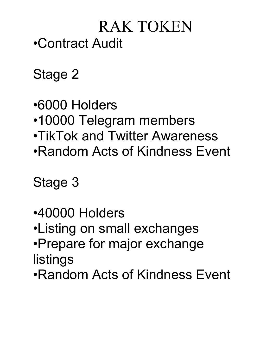#### RAK TOKEN •Contract Audit

Stage 2

•6000 Holders

- •10000 Telegram members
- •TikTok and Twitter Awareness
- •Random Acts of Kindness Event

Stage 3

- •40000 Holders
- •Listing on small exchanges
- •Prepare for major exchange listings
- •Random Acts of Kindness Event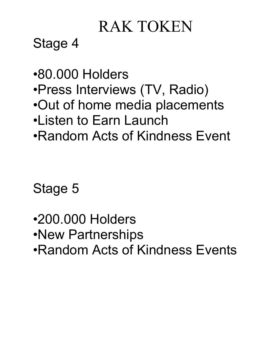Stage 4

- •80.000 Holders
- •Press Interviews (TV, Radio)
- •Out of home media placements
- •Listen to Earn Launch
- •Random Acts of Kindness Event

Stage 5

- •200.000 Holders
- •New Partnerships
- •Random Acts of Kindness Events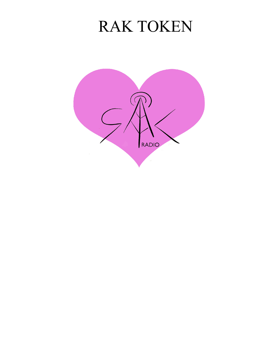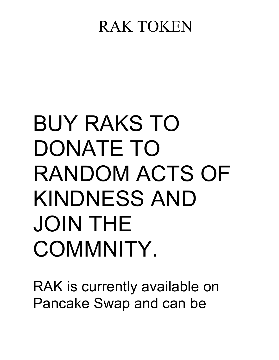# BUY RAKS TO DONATE TO RANDOM ACTS OF KINDNESS AND JOIN THE COMMNITY.

RAK is currently available on Pancake Swap and can be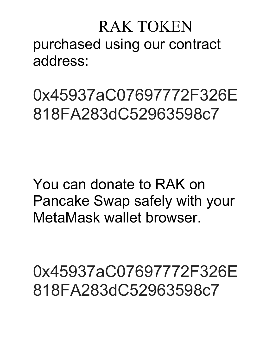#### RAK TOKEN purchased using our contract address:

0x45937aC07697772F326E 818FA283dC52963598c7

You can donate to RAK on Pancake Swap safely with your MetaMask wallet browser.

0x45937aC07697772F326E 818FA283dC52963598c7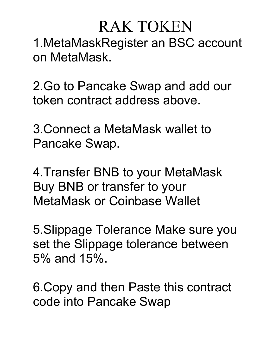1.MetaMaskRegister an BSC account on MetaMask.

2.Go to Pancake Swap and add our token contract address above.

3.Connect a MetaMask wallet to Pancake Swap.

4.Transfer BNB to your MetaMask Buy BNB or transfer to your MetaMask or Coinbase Wallet

5.Slippage Tolerance Make sure you set the Slippage tolerance between 5% and 15%.

6.Copy and then Paste this contract code into Pancake Swap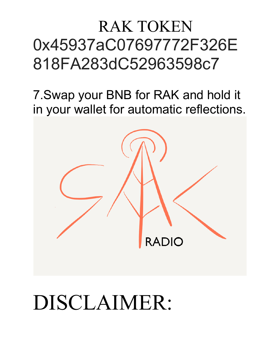#### RAK TOKEN 0x45937aC07697772F326E 818FA283dC52963598c7

7.Swap your BNB for RAK and hold it in your wallet for automatic reflections.



# DISCLAIMER: